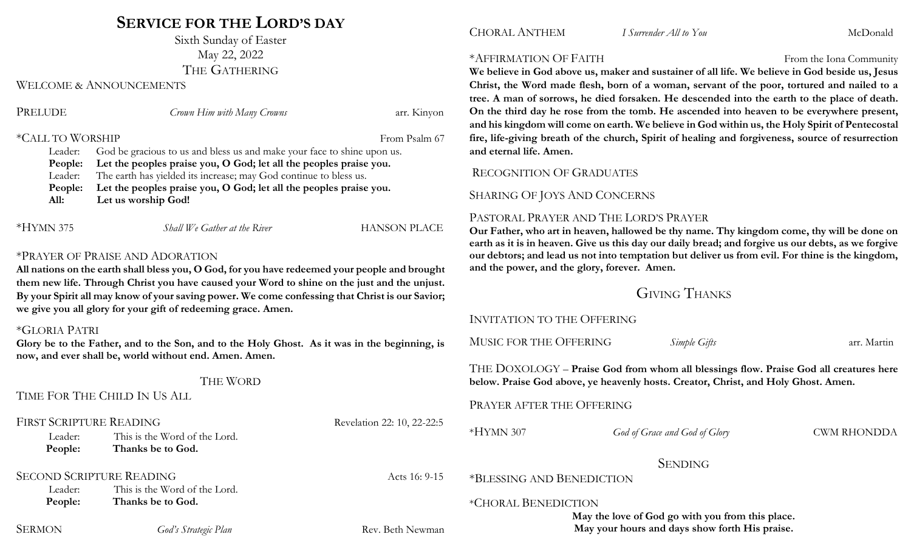# **SERVICE FOR THE LORD'S DAY**

Sixth Sunday of Easter May 22, 2022 THE GATHERING

WELCOME & ANNOUNCEMENTS

| PRELUDE          | Crown Him with Many Crowns                                              | arr. Kinyon   |  |
|------------------|-------------------------------------------------------------------------|---------------|--|
| *CALL TO WORSHIP |                                                                         | From Psalm 67 |  |
| Leader:          | God be gracious to us and bless us and make your face to shine upon us. |               |  |
| People:          | Let the peoples praise you, O God; let all the peoples praise you.      |               |  |
| Leader:          | The earth has yielded its increase; may God continue to bless us.       |               |  |
| People:          | Let the peoples praise you, O God; let all the peoples praise you.      |               |  |
| All:             | Let us worship God!                                                     |               |  |
|                  |                                                                         |               |  |
|                  |                                                                         |               |  |

\*HYMN 375 *Shall We Gather at the River* HANSON PLACE

# \*PRAYER OF PRAISE AND ADORATION

**All nations on the earth shall bless you, O God, for you have redeemed your people and brought them new life. Through Christ you have caused your Word to shine on the just and the unjust. By your Spirit all may know of your saving power. We come confessing that Christ is our Savior; we give you all glory for your gift of redeeming grace. Amen.**

## \*GLORIA PATRI

**Glory be to the Father, and to the Son, and to the Holy Ghost. As it was in the beginning, is now, and ever shall be, world without end. Amen. Amen.** 

### THE WORD

TIME FOR THE CHILD IN US ALL

| <b>FIRST SCRIPTURE READING</b>  |                               | Revelation 22: 10, 22-22:5 |                                                                         |                                                |                    |
|---------------------------------|-------------------------------|----------------------------|-------------------------------------------------------------------------|------------------------------------------------|--------------------|
| Leader:                         | This is the Word of the Lord. |                            | $*HYMN307$                                                              | God of Grace and God of Glory                  | <b>CWM RHONDDA</b> |
| People:                         | Thanks be to God.             |                            |                                                                         |                                                |                    |
|                                 |                               |                            | <b>SENDING</b>                                                          |                                                |                    |
| <b>SECOND SCRIPTURE READING</b> |                               | Acts 16: 9-15              | *BLESSING AND BENEDICTION                                               |                                                |                    |
| Leader:                         | This is the Word of the Lord. |                            |                                                                         |                                                |                    |
| People:                         | Thanks be to God.             |                            | *CHORAL BENEDICTION<br>May the love of God go with you from this place. |                                                |                    |
|                                 |                               |                            |                                                                         |                                                |                    |
| <b>SERMON</b>                   | God's Strategic Plan          | Rev. Beth Newman           |                                                                         | May your hours and days show forth His praise. |                    |

#### \*AFFIRMATION OF FAITH From the Iona Community

We believe in God above us, maker and sustainer of all life. We believe in God beside us, Jesus **Christ, the Word made flesh, born of a woman, servant of the poor, tortured and nailed to a tree. A man of sorrows, he died forsaken. He descended into the earth to the place of death. On the third day he rose from the tomb. He ascended into heaven to be everywhere present, and his kingdom will come on earth. We believe in God within us, the Holy Spirit of Pentecostal fire, life-giving breath of the church, Spirit of healing and forgiveness, source of resurrection and eternal life. Amen.**

# RECOGNITION OF GRADUATES

# SHARING OF JOYS AND CONCERNS

# PASTORAL PRAYER AND THE LORD'S PRAYER

**Our Father, who art in heaven, hallowed be thy name. Thy kingdom come, thy will be done on earth as it is in heaven. Give us this day our daily bread; and forgive us our debts, as we forgive our debtors; and lead us not into temptation but deliver us from evil. For thine is the kingdom, and the power, and the glory, forever. Amen.**

# GIVING THANKS

# INVITATION TO THE OFFERING

MUSIC FOR THE OFFERING *Simple Gifts* arr. Martin

THE DOXOLOGY – **Praise God from whom all blessings flow. Praise God all creatures here below. Praise God above, ye heavenly hosts. Creator, Christ, and Holy Ghost. Amen.**

## PRAYER AFTER THE OFFERING

**May your hours and days show forth His praise.**